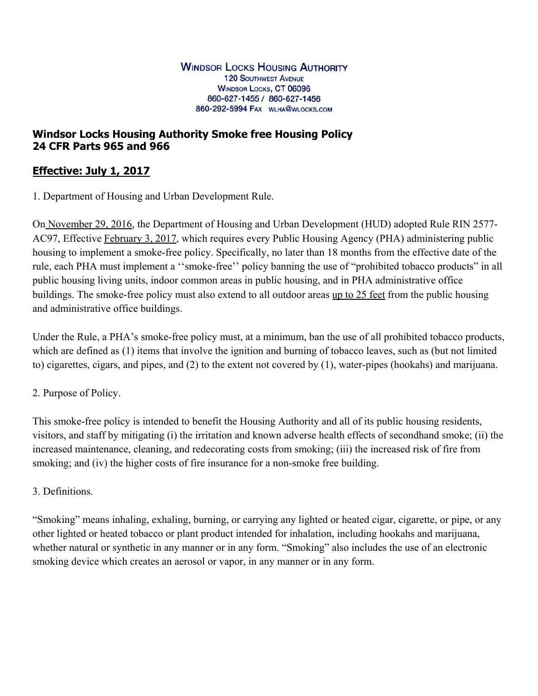## **Windsor Locks Housing Authority Smoke free Housing Policy 24 CFR Parts 965 and 966**

# **Effective: July 1, 2017**

1. Department of Housing and Urban Development Rule.

On November 29, 2016, the Department of Housing and Urban Development (HUD) adopted Rule RIN 2577- AC97, Effective February 3, 2017, which requires every Public Housing Agency (PHA) administering public housing to implement a smoke-free policy. Specifically, no later than 18 months from the effective date of the rule, each PHA must implement a ''smoke-free'' policy banning the use of "prohibited tobacco products" in all public housing living units, indoor common areas in public housing, and in PHA administrative office buildings. The smoke-free policy must also extend to all outdoor areas up to 25 feet from the public housing and administrative office buildings.

Under the Rule, a PHA's smoke-free policy must, at a minimum, ban the use of all prohibited tobacco products, which are defined as (1) items that involve the ignition and burning of tobacco leaves, such as (but not limited to) cigarettes, cigars, and pipes, and (2) to the extent not covered by (1), water-pipes (hookahs) and marijuana.

#### 2. Purpose of Policy.

This smoke-free policy is intended to benefit the Housing Authority and all of its public housing residents, visitors, and staff by mitigating (i) the irritation and known adverse health effects of secondhand smoke; (ii) the increased maintenance, cleaning, and redecorating costs from smoking; (iii) the increased risk of fire from smoking; and (iv) the higher costs of fire insurance for a non-smoke free building.

#### 3. Definitions.

"Smoking" means inhaling, exhaling, burning, or carrying any lighted or heated cigar, cigarette, or pipe, or any other lighted or heated tobacco or plant product intended for inhalation, including hookahs and marijuana, whether natural or synthetic in any manner or in any form. "Smoking" also includes the use of an electronic smoking device which creates an aerosol or vapor, in any manner or in any form.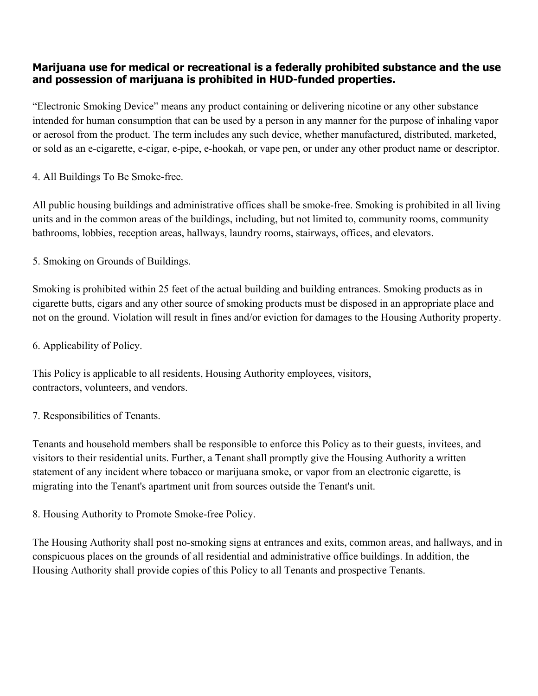## **Marijuana use for medical or recreational is a federally prohibited substance and the use and possession of marijuana is prohibited in HUD-funded properties.**

"Electronic Smoking Device" means any product containing or delivering nicotine or any other substance intended for human consumption that can be used by a person in any manner for the purpose of inhaling vapor or aerosol from the product. The term includes any such device, whether manufactured, distributed, marketed, or sold as an e-cigarette, e-cigar, e-pipe, e-hookah, or vape pen, or under any other product name or descriptor.

4. All Buildings To Be Smoke-free.

All public housing buildings and administrative offices shall be smoke-free. Smoking is prohibited in all living units and in the common areas of the buildings, including, but not limited to, community rooms, community bathrooms, lobbies, reception areas, hallways, laundry rooms, stairways, offices, and elevators.

5. Smoking on Grounds of Buildings.

Smoking is prohibited within 25 feet of the actual building and building entrances. Smoking products as in cigarette butts, cigars and any other source of smoking products must be disposed in an appropriate place and not on the ground. Violation will result in fines and/or eviction for damages to the Housing Authority property.

6. Applicability of Policy.

This Policy is applicable to all residents, Housing Authority employees, visitors, contractors, volunteers, and vendors.

7. Responsibilities of Tenants.

Tenants and household members shall be responsible to enforce this Policy as to their guests, invitees, and visitors to their residential units. Further, a Tenant shall promptly give the Housing Authority a written statement of any incident where tobacco or marijuana smoke, or vapor from an electronic cigarette, is migrating into the Tenant's apartment unit from sources outside the Tenant's unit.

8. Housing Authority to Promote Smoke-free Policy.

The Housing Authority shall post no-smoking signs at entrances and exits, common areas, and hallways, and in conspicuous places on the grounds of all residential and administrative office buildings. In addition, the Housing Authority shall provide copies of this Policy to all Tenants and prospective Tenants.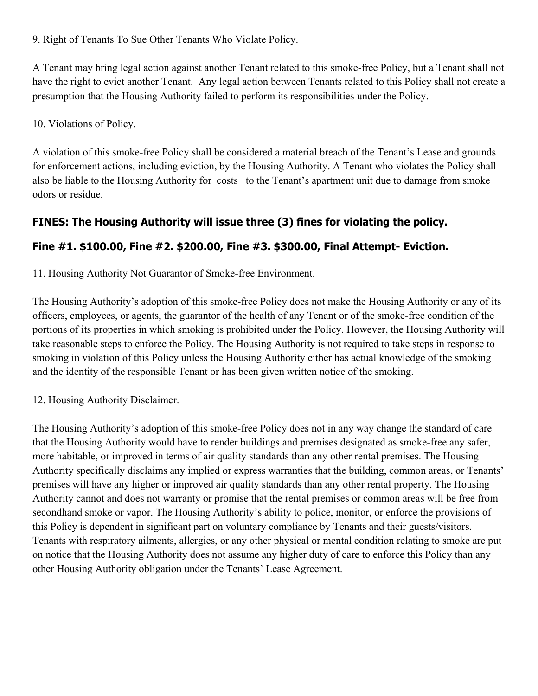9. Right of Tenants To Sue Other Tenants Who Violate Policy.

A Tenant may bring legal action against another Tenant related to this smoke-free Policy, but a Tenant shall not have the right to evict another Tenant. Any legal action between Tenants related to this Policy shall not create a presumption that the Housing Authority failed to perform its responsibilities under the Policy.

10. Violations of Policy.

A violation of this smoke-free Policy shall be considered a material breach of the Tenant's Lease and grounds for enforcement actions, including eviction, by the Housing Authority. A Tenant who violates the Policy shall also be liable to the Housing Authority for costs to the Tenant's apartment unit due to damage from smoke odors or residue.

## **FINES: The Housing Authority will issue three (3) fines for violating the policy.**

## **Fine #1. \$100.00, Fine #2. \$200.00, Fine #3. \$300.00, Final Attempt- Eviction.**

11. Housing Authority Not Guarantor of Smoke-free Environment.

The Housing Authority's adoption of this smoke-free Policy does not make the Housing Authority or any of its officers, employees, or agents, the guarantor of the health of any Tenant or of the smoke-free condition of the portions of its properties in which smoking is prohibited under the Policy. However, the Housing Authority will take reasonable steps to enforce the Policy. The Housing Authority is not required to take steps in response to smoking in violation of this Policy unless the Housing Authority either has actual knowledge of the smoking and the identity of the responsible Tenant or has been given written notice of the smoking.

12. Housing Authority Disclaimer.

The Housing Authority's adoption of this smoke-free Policy does not in any way change the standard of care that the Housing Authority would have to render buildings and premises designated as smoke-free any safer, more habitable, or improved in terms of air quality standards than any other rental premises. The Housing Authority specifically disclaims any implied or express warranties that the building, common areas, or Tenants' premises will have any higher or improved air quality standards than any other rental property. The Housing Authority cannot and does not warranty or promise that the rental premises or common areas will be free from secondhand smoke or vapor. The Housing Authority's ability to police, monitor, or enforce the provisions of this Policy is dependent in significant part on voluntary compliance by Tenants and their guests/visitors. Tenants with respiratory ailments, allergies, or any other physical or mental condition relating to smoke are put on notice that the Housing Authority does not assume any higher duty of care to enforce this Policy than any other Housing Authority obligation under the Tenants' Lease Agreement.